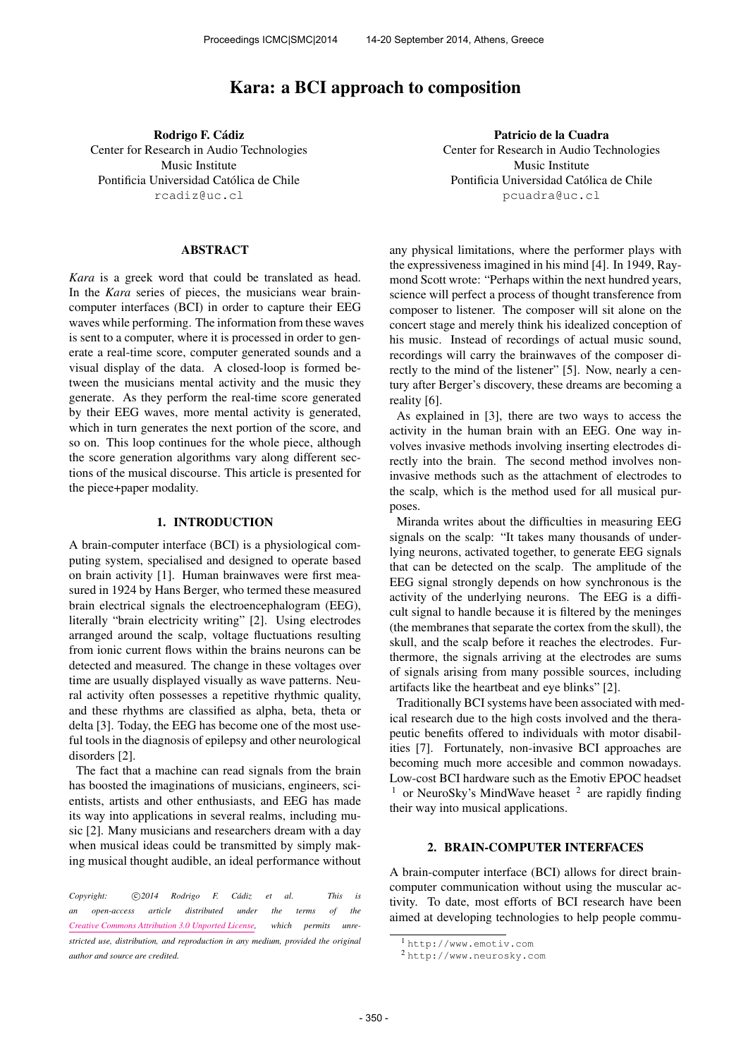# Kara: a BCI approach to composition

Rodrigo F. Cádiz Center for Research in Audio Technologies Music Institute Pontificia Universidad Católica de Chile [rcadiz@uc.cl](mailto:rcadiz@uc.cl)

## ABSTRACT

*Kara* is a greek word that could be translated as head. In the *Kara* series of pieces, the musicians wear braincomputer interfaces (BCI) in order to capture their EEG waves while performing. The information from these waves is sent to a computer, where it is processed in order to generate a real-time score, computer generated sounds and a visual display of the data. A closed-loop is formed between the musicians mental activity and the music they generate. As they perform the real-time score generated by their EEG waves, more mental activity is generated, which in turn generates the next portion of the score, and so on. This loop continues for the whole piece, although the score generation algorithms vary along different sections of the musical discourse. This article is presented for the piece+paper modality.

## 1. INTRODUCTION

A brain-computer interface (BCI) is a physiological computing system, specialised and designed to operate based on brain activity [1]. Human brainwaves were first measured in 1924 by Hans Berger, who termed these measured brain electrical signals the electroencephalogram (EEG), literally "brain electricity writing" [2]. Using electrodes arranged around the scalp, voltage fluctuations resulting from ionic current flows within the brains neurons can be detected and measured. The change in these voltages over time are usually displayed visually as wave patterns. Neural activity often possesses a repetitive rhythmic quality, and these rhythms are classified as alpha, beta, theta or delta [3]. Today, the EEG has become one of the most useful tools in the diagnosis of epilepsy and other neurological disorders [2].

The fact that a machine can read signals from the brain has boosted the imaginations of musicians, engineers, scientists, artists and other enthusiasts, and EEG has made its way into applications in several realms, including music [2]. Many musicians and researchers dream with a day when musical ideas could be transmitted by simply making musical thought audible, an ideal performance without

Patricio de la Cuadra Center for Research in Audio Technologies Music Institute Pontificia Universidad Católica de Chile [pcuadra@uc.cl](mailto:pcuadra@uc.cl)

any physical limitations, where the performer plays with the expressiveness imagined in his mind [4]. In 1949, Raymond Scott wrote: "Perhaps within the next hundred years, science will perfect a process of thought transference from composer to listener. The composer will sit alone on the concert stage and merely think his idealized conception of his music. Instead of recordings of actual music sound, recordings will carry the brainwaves of the composer directly to the mind of the listener" [5]. Now, nearly a century after Berger's discovery, these dreams are becoming a reality [6].

As explained in [3], there are two ways to access the activity in the human brain with an EEG. One way involves invasive methods involving inserting electrodes directly into the brain. The second method involves noninvasive methods such as the attachment of electrodes to the scalp, which is the method used for all musical purposes.

Miranda writes about the difficulties in measuring EEG signals on the scalp: "It takes many thousands of underlying neurons, activated together, to generate EEG signals that can be detected on the scalp. The amplitude of the EEG signal strongly depends on how synchronous is the activity of the underlying neurons. The EEG is a difficult signal to handle because it is filtered by the meninges (the membranes that separate the cortex from the skull), the skull, and the scalp before it reaches the electrodes. Furthermore, the signals arriving at the electrodes are sums of signals arising from many possible sources, including artifacts like the heartbeat and eye blinks" [2].

Traditionally BCI systems have been associated with medical research due to the high costs involved and the therapeutic benefits offered to individuals with motor disabilities [7]. Fortunately, non-invasive BCI approaches are becoming much more accesible and common nowadays. Low-cost BCI hardware such as the Emotiv EPOC headset  $1$  or NeuroSky's MindWave heaset  $2$  are rapidly finding their way into musical applications.

## 2. BRAIN-COMPUTER INTERFACES

A brain-computer interface (BCI) allows for direct braincomputer communication without using the muscular activity. To date, most efforts of BCI research have been aimed at developing technologies to help people commu-

*Copyright:*  $\bigcirc$  2014 Rodrigo F. Cádiz et al. This is *an open-access article distributed under the terms of the [Creative Commons Attribution 3.0 Unported License,](http://creativecommons.org/licenses/by/3.0/) which permits unrestricted use, distribution, and reproduction in any medium, provided the original author and source are credited.*

<sup>1</sup> <http://www.emotiv.com>

<sup>2</sup> <http://www.neurosky.com>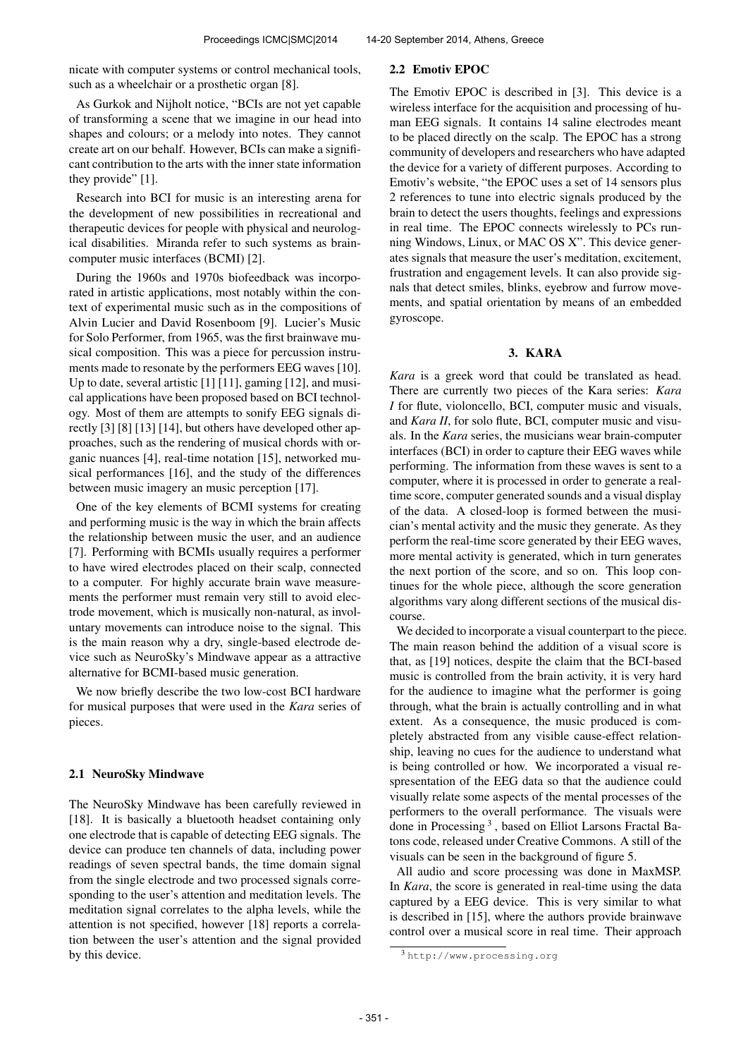nicate with computer systems or control mechanical tools, such as a wheelchair or a prosthetic organ [8].

As Gurkok and Nijholt notice, "BCIs are not yet capable of transforming a scene that we imagine in our head into shapes and colours; or a melody into notes. They cannot create art on our behalf. However, BCIs can make a significant contribution to the arts with the inner state information they provide" [1].

Research into BCI for music is an interesting arena for the development of new possibilities in recreational and therapeutic devices for people with physical and neurological disabilities. Miranda refer to such systems as braincomputer music interfaces (BCMI) [2].

During the 1960s and 1970s biofeedback was incorporated in artistic applications, most notably within the context of experimental music such as in the compositions of Alvin Lucier and David Rosenboom [9]. Lucier's Music for Solo Performer, from 1965, was the first brainwave musical composition. This was a piece for percussion instruments made to resonate by the performers EEG waves [10]. Up to date, several artistic [1] [11], gaming [12], and musical applications have been proposed based on BCI technology. Most of them are attempts to sonify EEG signals directly [3] [8] [13] [14], but others have developed other approaches, such as the rendering of musical chords with organic nuances [4], real-time notation [15], networked musical performances [16], and the study of the differences between music imagery an music perception [17].

One of the key elements of BCMI systems for creating and performing music is the way in which the brain affects the relationship between music the user, and an audience [7]. Performing with BCMIs usually requires a performer to have wired electrodes placed on their scalp, connected to a computer. For highly accurate brain wave measurements the performer must remain very still to avoid electrode movement, which is musically non-natural, as involuntary movements can introduce noise to the signal. This is the main reason why a dry, single-based electrode device such as NeuroSky's Mindwave appear as a attractive alternative for BCMI-based music generation.

We now briefly describe the two low-cost BCI hardware for musical purposes that were used in the *Kara* series of pieces.

## 2.1 NeuroSky Mindwave

The NeuroSky Mindwave has been carefully reviewed in [18]. It is basically a bluetooth headset containing only one electrode that is capable of detecting EEG signals. The device can produce ten channels of data, including power readings of seven spectral bands, the time domain signal from the single electrode and two processed signals corresponding to the user's attention and meditation levels. The meditation signal correlates to the alpha levels, while the attention is not specified, however [18] reports a correlation between the user's attention and the signal provided by this device.

### 2.2 Emotiv EPOC

The Emotiv EPOC is described in [3]. This device is a wireless interface for the acquisition and processing of human EEG signals. It contains 14 saline electrodes meant to be placed directly on the scalp. The EPOC has a strong community of developers and researchers who have adapted the device for a variety of different purposes. According to Emotiv's website, "the EPOC uses a set of 14 sensors plus 2 references to tune into electric signals produced by the brain to detect the users thoughts, feelings and expressions in real time. The EPOC connects wirelessly to PCs running Windows, Linux, or MAC OS X". This device generates signals that measure the user's meditation, excitement, frustration and engagement levels. It can also provide signals that detect smiles, blinks, eyebrow and furrow movements, and spatial orientation by means of an embedded gyroscope.

# 3. KARA

*Kara* is a greek word that could be translated as head. There are currently two pieces of the Kara series: *Kara I* for flute, violoncello, BCI, computer music and visuals, and *Kara II*, for solo flute, BCI, computer music and visuals. In the *Kara* series, the musicians wear brain-computer interfaces (BCI) in order to capture their EEG waves while performing. The information from these waves is sent to a computer, where it is processed in order to generate a realtime score, computer generated sounds and a visual display of the data. A closed-loop is formed between the musician's mental activity and the music they generate. As they perform the real-time score generated by their EEG waves, more mental activity is generated, which in turn generates the next portion of the score, and so on. This loop continues for the whole piece, although the score generation algorithms vary along different sections of the musical discourse.

We decided to incorporate a visual counterpart to the piece. The main reason behind the addition of a visual score is that, as [19] notices, despite the claim that the BCI-based music is controlled from the brain activity, it is very hard for the audience to imagine what the performer is going through, what the brain is actually controlling and in what extent. As a consequence, the music produced is completely abstracted from any visible cause-effect relationship, leaving no cues for the audience to understand what is being controlled or how. We incorporated a visual respresentation of the EEG data so that the audience could visually relate some aspects of the mental processes of the performers to the overall performance. The visuals were done in Processing<sup>3</sup>, based on Elliot Larsons Fractal Batons code, released under Creative Commons. A still of the visuals can be seen in the background of figure 5.

All audio and score processing was done in MaxMSP. In *Kara*, the score is generated in real-time using the data captured by a EEG device. This is very similar to what is described in [15], where the authors provide brainwave control over a musical score in real time. Their approach

<sup>3</sup> <http://www.processing.org>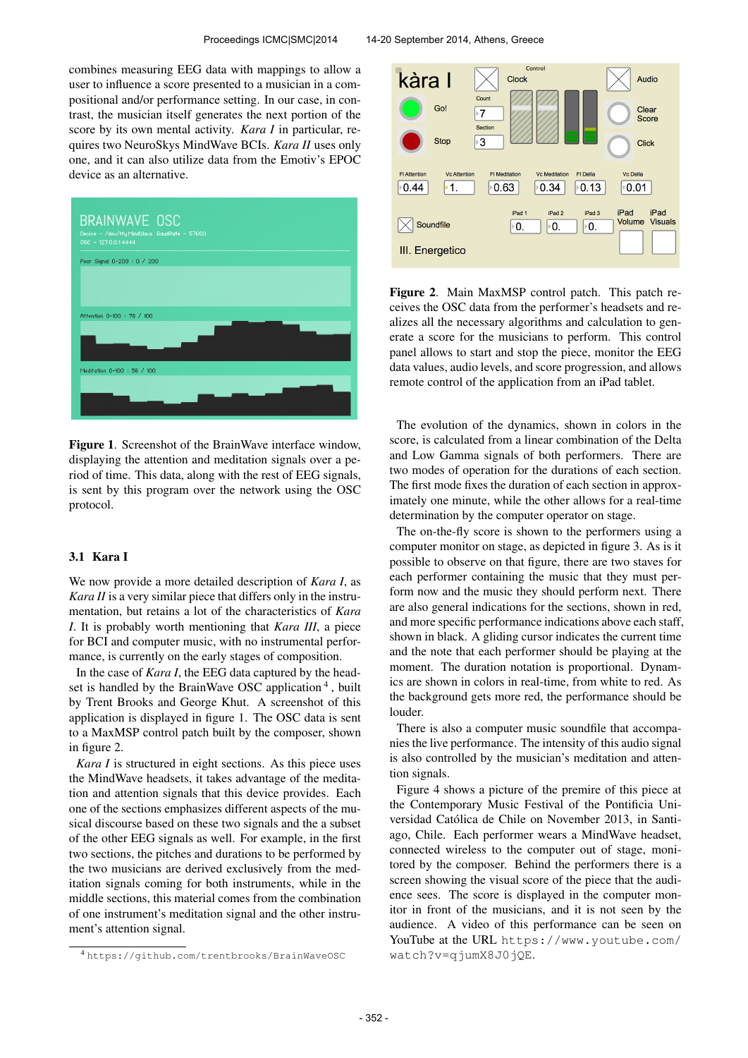combines measuring EEG data with mappings to allow a user to influence a score presented to a musician in a compositional and/or performance setting. In our case, in contrast, the musician itself generates the next portion of the score by its own mental activity. *Kara I* in particular, requires two NeuroSkys MindWave BCIs. *Kara II* uses only one, and it can also utilize data from the Emotiv's EPOC device as an alternative.



Figure 1. Screenshot of the BrainWave interface window, displaying the attention and meditation signals over a period of time. This data, along with the rest of EEG signals, is sent by this program over the network using the OSC protocol.

# 3.1 Kara I

We now provide a more detailed description of *Kara I*, as *Kara II* is a very similar piece that differs only in the instrumentation, but retains a lot of the characteristics of *Kara I*. It is probably worth mentioning that *Kara III*, a piece for BCI and computer music, with no instrumental performance, is currently on the early stages of composition.

In the case of *Kara I*, the EEG data captured by the headset is handled by the BrainWave OSC application<sup>4</sup>, built by Trent Brooks and George Khut. A screenshot of this application is displayed in figure 1. The OSC data is sent to a MaxMSP control patch built by the composer, shown in figure 2.

*Kara I* is structured in eight sections. As this piece uses the MindWave headsets, it takes advantage of the meditation and attention signals that this device provides. Each one of the sections emphasizes different aspects of the musical discourse based on these two signals and the a subset of the other EEG signals as well. For example, in the first two sections, the pitches and durations to be performed by the two musicians are derived exclusively from the meditation signals coming for both instruments, while in the middle sections, this material comes from the combination of one instrument's meditation signal and the other instrument's attention signal.



Figure 2. Main MaxMSP control patch. This patch receives the OSC data from the performer's headsets and realizes all the necessary algorithms and calculation to generate a score for the musicians to perform. This control panel allows to start and stop the piece, monitor the EEG data values, audio levels, and score progression, and allows remote control of the application from an iPad tablet.

The evolution of the dynamics, shown in colors in the score, is calculated from a linear combination of the Delta and Low Gamma signals of both performers. There are two modes of operation for the durations of each section. The first mode fixes the duration of each section in approximately one minute, while the other allows for a real-time determination by the computer operator on stage.

The on-the-fly score is shown to the performers using a computer monitor on stage, as depicted in figure 3. As is it possible to observe on that figure, there are two staves for each performer containing the music that they must perform now and the music they should perform next. There are also general indications for the sections, shown in red, and more specific performance indications above each staff, shown in black. A gliding cursor indicates the current time and the note that each performer should be playing at the moment. The duration notation is proportional. Dynamics are shown in colors in real-time, from white to red. As the background gets more red, the performance should be louder.

There is also a computer music soundfile that accompanies the live performance. The intensity of this audio signal is also controlled by the musician's meditation and attention signals.

Figure 4 shows a picture of the premire of this piece at the Contemporary Music Festival of the Pontificia Universidad Católica de Chile on November 2013, in Santiago, Chile. Each performer wears a MindWave headset, connected wireless to the computer out of stage, monitored by the composer. Behind the performers there is a screen showing the visual score of the piece that the audience sees. The score is displayed in the computer monitor in front of the musicians, and it is not seen by the audience. A video of this performance can be seen on YouTube at the URL [https://www.youtube.com/](https://www.youtube.com/watch?v=qjumX8J0jQE) [watch?v=qjumX8J0jQE](https://www.youtube.com/watch?v=qjumX8J0jQE).

<sup>4</sup> <https://github.com/trentbrooks/BrainWaveOSC>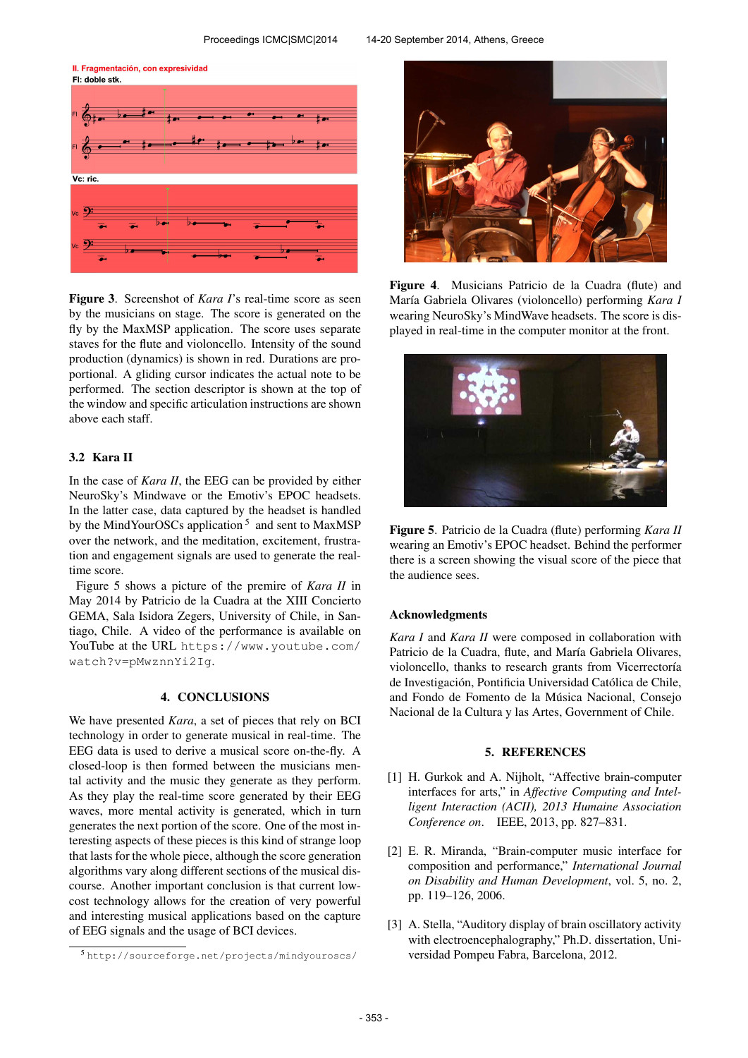II. Fragmentación, con expresividad FI: doble stk.



Figure 3. Screenshot of *Kara I*'s real-time score as seen by the musicians on stage. The score is generated on the fly by the MaxMSP application. The score uses separate staves for the flute and violoncello. Intensity of the sound production (dynamics) is shown in red. Durations are proportional. A gliding cursor indicates the actual note to be performed. The section descriptor is shown at the top of the window and specific articulation instructions are shown above each staff.

# 3.2 Kara II

In the case of *Kara II*, the EEG can be provided by either NeuroSky's Mindwave or the Emotiv's EPOC headsets. In the latter case, data captured by the headset is handled by the MindYourOSCs application<sup>5</sup> and sent to MaxMSP over the network, and the meditation, excitement, frustration and engagement signals are used to generate the realtime score.

Figure 5 shows a picture of the premire of *Kara II* in May 2014 by Patricio de la Cuadra at the XIII Concierto GEMA, Sala Isidora Zegers, University of Chile, in Santiago, Chile. A video of the performance is available on YouTube at the URL [https://www.youtube.com/](https://www.youtube.com/watch?v=pMwznnYi2Ig) [watch?v=pMwznnYi2Ig](https://www.youtube.com/watch?v=pMwznnYi2Ig).

#### 4. CONCLUSIONS

We have presented *Kara*, a set of pieces that rely on BCI technology in order to generate musical in real-time. The EEG data is used to derive a musical score on-the-fly. A closed-loop is then formed between the musicians mental activity and the music they generate as they perform. As they play the real-time score generated by their EEG waves, more mental activity is generated, which in turn generates the next portion of the score. One of the most interesting aspects of these pieces is this kind of strange loop that lasts for the whole piece, although the score generation algorithms vary along different sections of the musical discourse. Another important conclusion is that current lowcost technology allows for the creation of very powerful and interesting musical applications based on the capture of EEG signals and the usage of BCI devices.



Figure 4. Musicians Patricio de la Cuadra (flute) and María Gabriela Olivares (violoncello) performing *Kara I* wearing NeuroSky's MindWave headsets. The score is displayed in real-time in the computer monitor at the front.



Figure 5. Patricio de la Cuadra (flute) performing *Kara II* wearing an Emotiv's EPOC headset. Behind the performer there is a screen showing the visual score of the piece that the audience sees.

#### Acknowledgments

*Kara I* and *Kara II* were composed in collaboration with Patricio de la Cuadra, flute, and María Gabriela Olivares, violoncello, thanks to research grants from Vicerrectoría de Investigación, Pontificia Universidad Católica de Chile, and Fondo de Fomento de la Musica Nacional, Consejo ´ Nacional de la Cultura y las Artes, Government of Chile.

#### 5. REFERENCES

- [1] H. Gurkok and A. Nijholt, "Affective brain-computer interfaces for arts," in *Affective Computing and Intelligent Interaction (ACII), 2013 Humaine Association Conference on*. IEEE, 2013, pp. 827–831.
- [2] E. R. Miranda, "Brain-computer music interface for composition and performance," *International Journal on Disability and Human Development*, vol. 5, no. 2, pp. 119–126, 2006.
- [3] A. Stella, "Auditory display of brain oscillatory activity with electroencephalography," Ph.D. dissertation, Universidad Pompeu Fabra, Barcelona, 2012.

<sup>5</sup> [http://sourceforge.net/projects/mindyouroscs/](http://sourceforge.net/projects/mindyouroscs/ )